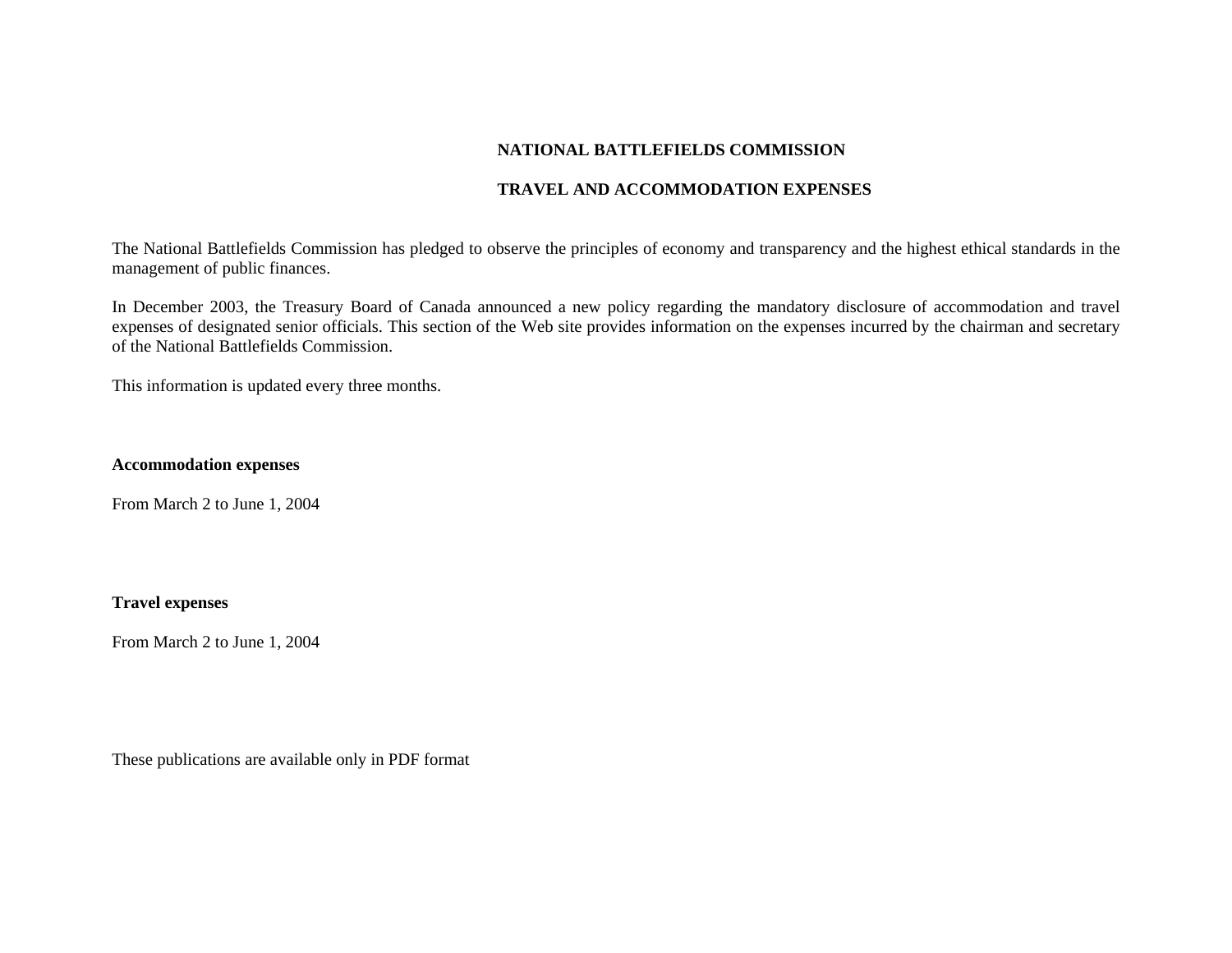# **NATIONAL BATTLEFIELDS COMMISSION**

# **TRAVEL AND ACCOMMODATION EXPENSES**

The National Battlefields Commission has pledged to observe the principles of economy and transparency and the highest ethical standards in the management of public finances.

In December 2003, the Treasury Board of Canada announced a new policy regarding the mandatory disclosure of accommodation and travel expenses of designated senior officials. This section of the Web site provides information on the expenses incurred by the chairman and secretary of the National Battlefields Commission.

This information is updated every three months.

# **Accommodation expenses**

From March 2 to June 1, 2004

# **Travel expenses**

From March 2 to June 1, 2004

These publications are available only in PDF format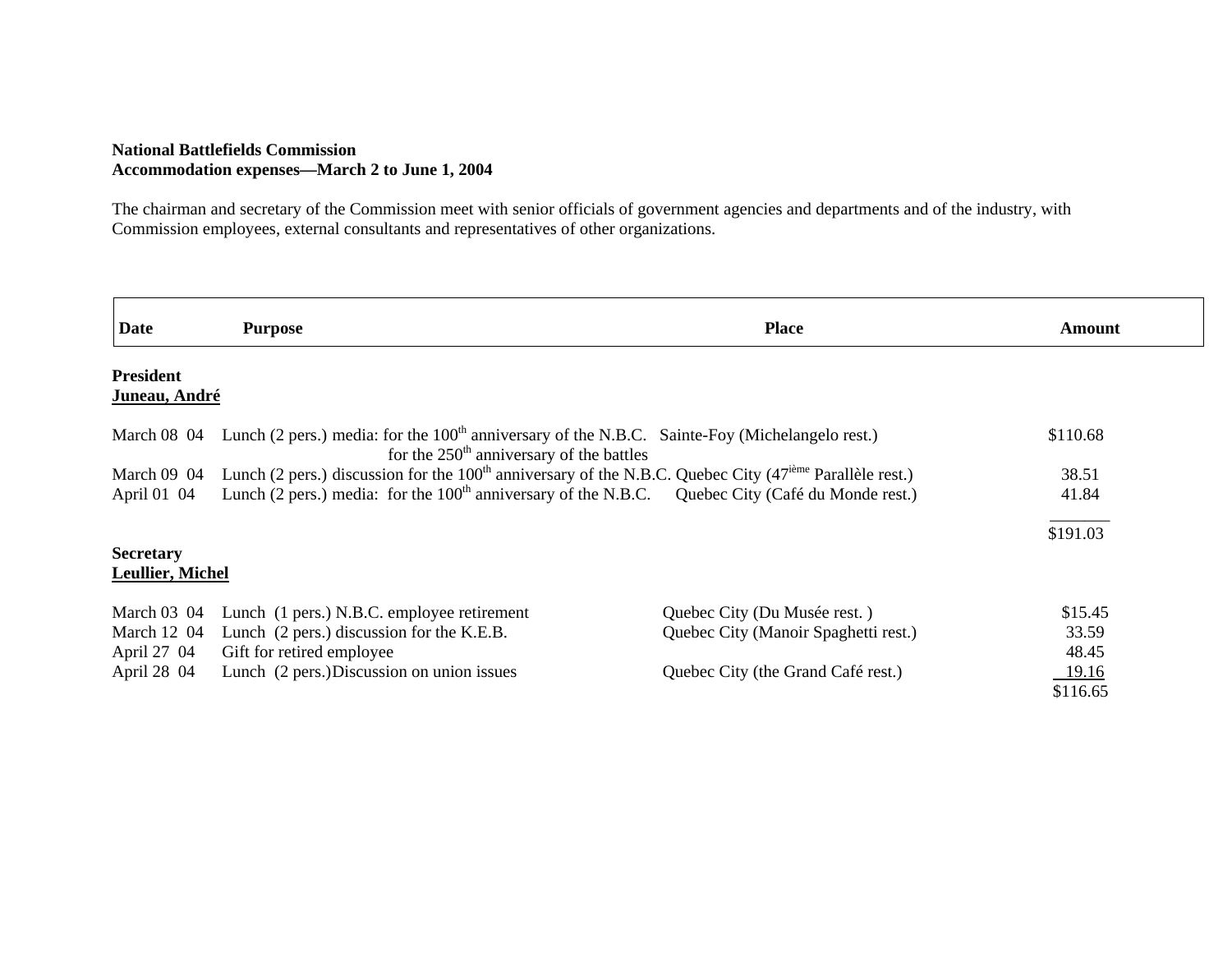# **National Battlefields Commission Accommodation expenses—March 2 to June 1, 2004**

г

The chairman and secretary of the Commission meet with senior officials of government agencies and departments and of the industry, with Commission employees, external consultants and representatives of other organizations.

| <b>Date</b>                       | <b>Purpose</b>                                                                                                                                           | <b>Place</b>                         | Amount       |
|-----------------------------------|----------------------------------------------------------------------------------------------------------------------------------------------------------|--------------------------------------|--------------|
| <b>President</b><br>Juneau, André |                                                                                                                                                          |                                      |              |
| <b>March 08 04</b>                | Lunch (2 pers.) media: for the 100 <sup>th</sup> anniversary of the N.B.C. Sainte-Foy (Michelangelo rest.)<br>for the $250th$ anniversary of the battles |                                      | \$110.68     |
|                                   | March 09 04 Lunch (2 pers.) discussion for the $100th$ anniversary of the N.B.C. Quebec City (47 <sup>ième</sup> Parallèle rest.)                        |                                      | 38.51        |
| April 01 04                       | Lunch (2 pers.) media: for the 100 <sup>th</sup> anniversary of the N.B.C. Quebec City (Café du Monde rest.)                                             |                                      | 41.84        |
|                                   |                                                                                                                                                          |                                      | \$191.03     |
| <b>Secretary</b>                  |                                                                                                                                                          |                                      |              |
| <b>Leullier, Michel</b>           |                                                                                                                                                          |                                      |              |
| March $03 \, 04$                  | Lunch (1 pers.) N.B.C. employee retirement                                                                                                               | Quebec City (Du Musée rest.)         | \$15.45      |
| March 12 04                       | Lunch (2 pers.) discussion for the K.E.B.                                                                                                                | Quebec City (Manoir Spaghetti rest.) | 33.59        |
| April 27 04                       | Gift for retired employee                                                                                                                                |                                      | 48.45        |
| April 28 04                       | Lunch (2 pers.) Discussion on union issues                                                                                                               | Quebec City (the Grand Café rest.)   | <u>19.16</u> |
|                                   |                                                                                                                                                          |                                      | \$116.65     |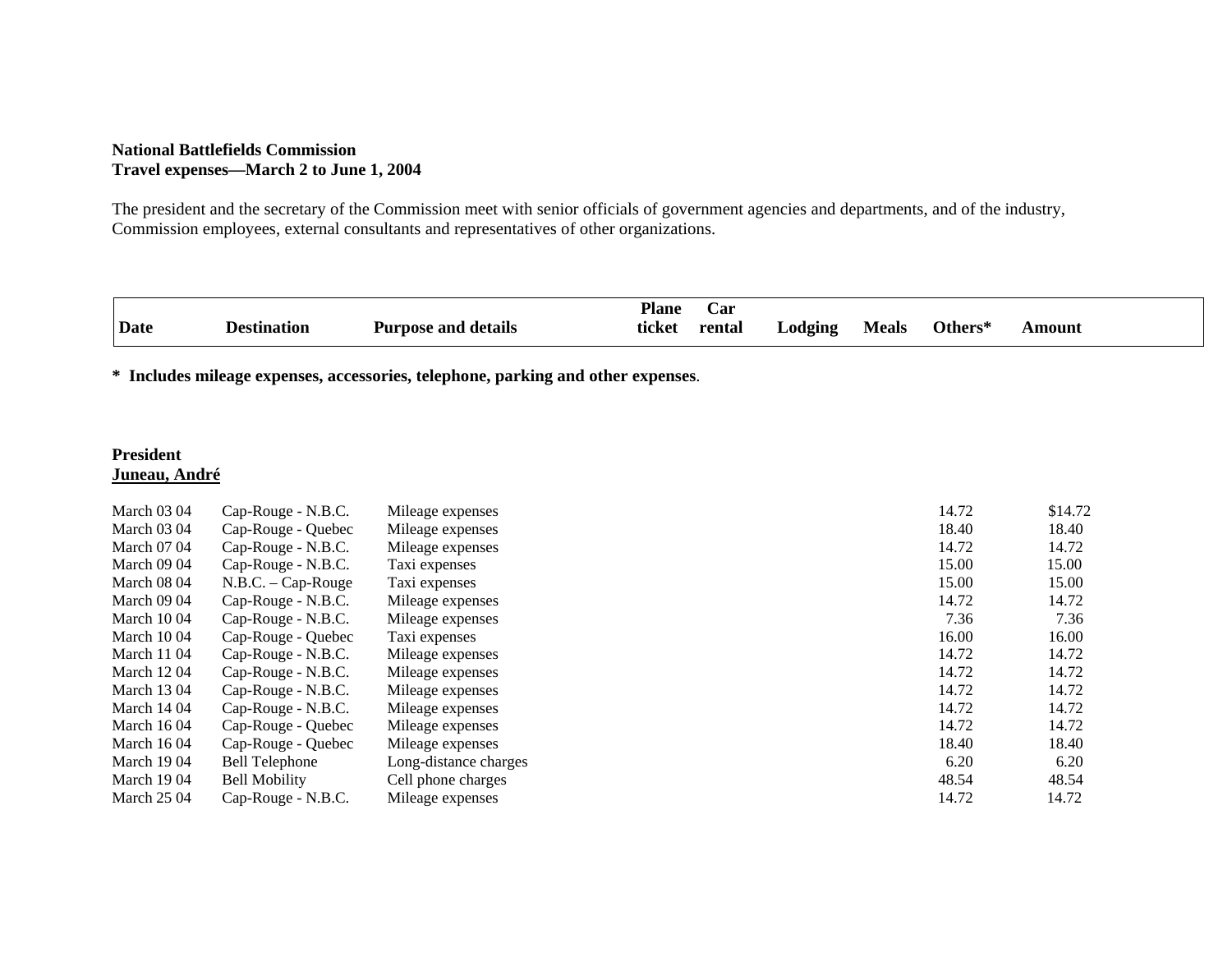#### **National Battlefields Commission Travel expenses—March 2 to June 1, 2004**

The president and the secretary of the Commission meet with senior officials of government agencies and departments, and of the industry, Commission employees, external consultants and representatives of other organizations.

|      |             |                            | <b>Plane</b> | arت    |                 |              |         |        |
|------|-------------|----------------------------|--------------|--------|-----------------|--------------|---------|--------|
| Date | Destination | <b>Purpose and details</b> | ticket       | rental | $\Delta$ odging | <b>Meals</b> | Others* | ⊾mount |

**\* Includes mileage expenses, accessories, telephone, parking and other expenses**.

# **President Juneau, André**

| <b>March 03 04</b> | Cap-Rouge - N.B.C.    | Mileage expenses      | 14.72 | \$14.72 |
|--------------------|-----------------------|-----------------------|-------|---------|
| <b>March 03 04</b> | Cap-Rouge - Quebec    | Mileage expenses      | 18.40 | 18.40   |
| <b>March 07 04</b> | Cap-Rouge - N.B.C.    | Mileage expenses      | 14.72 | 14.72   |
| <b>March 09 04</b> | Cap-Rouge - N.B.C.    | Taxi expenses         | 15.00 | 15.00   |
| <b>March 08 04</b> | $N.B.C. - Cap-Rouge$  | Taxi expenses         | 15.00 | 15.00   |
| <b>March 09 04</b> | Cap-Rouge - N.B.C.    | Mileage expenses      | 14.72 | 14.72   |
| <b>March</b> 10 04 | Cap-Rouge - N.B.C.    | Mileage expenses      | 7.36  | 7.36    |
| <b>March</b> 10 04 | Cap-Rouge - Quebec    | Taxi expenses         | 16.00 | 16.00   |
| <b>March</b> 11 04 | Cap-Rouge - N.B.C.    | Mileage expenses      | 14.72 | 14.72   |
| <b>March</b> 12 04 | Cap-Rouge - N.B.C.    | Mileage expenses      | 14.72 | 14.72   |
| <b>March</b> 13 04 | Cap-Rouge - N.B.C.    | Mileage expenses      | 14.72 | 14.72   |
| <b>March</b> 14 04 | Cap-Rouge - N.B.C.    | Mileage expenses      | 14.72 | 14.72   |
| <b>March 1604</b>  | Cap-Rouge - Quebec    | Mileage expenses      | 14.72 | 14.72   |
| <b>March</b> 16 04 | Cap-Rouge - Quebec    | Mileage expenses      | 18.40 | 18.40   |
| <b>March</b> 1904  | <b>Bell Telephone</b> | Long-distance charges | 6.20  | 6.20    |
| <b>March 1904</b>  | <b>Bell Mobility</b>  | Cell phone charges    | 48.54 | 48.54   |
| <b>March 25 04</b> | Cap-Rouge - N.B.C.    | Mileage expenses      | 14.72 | 14.72   |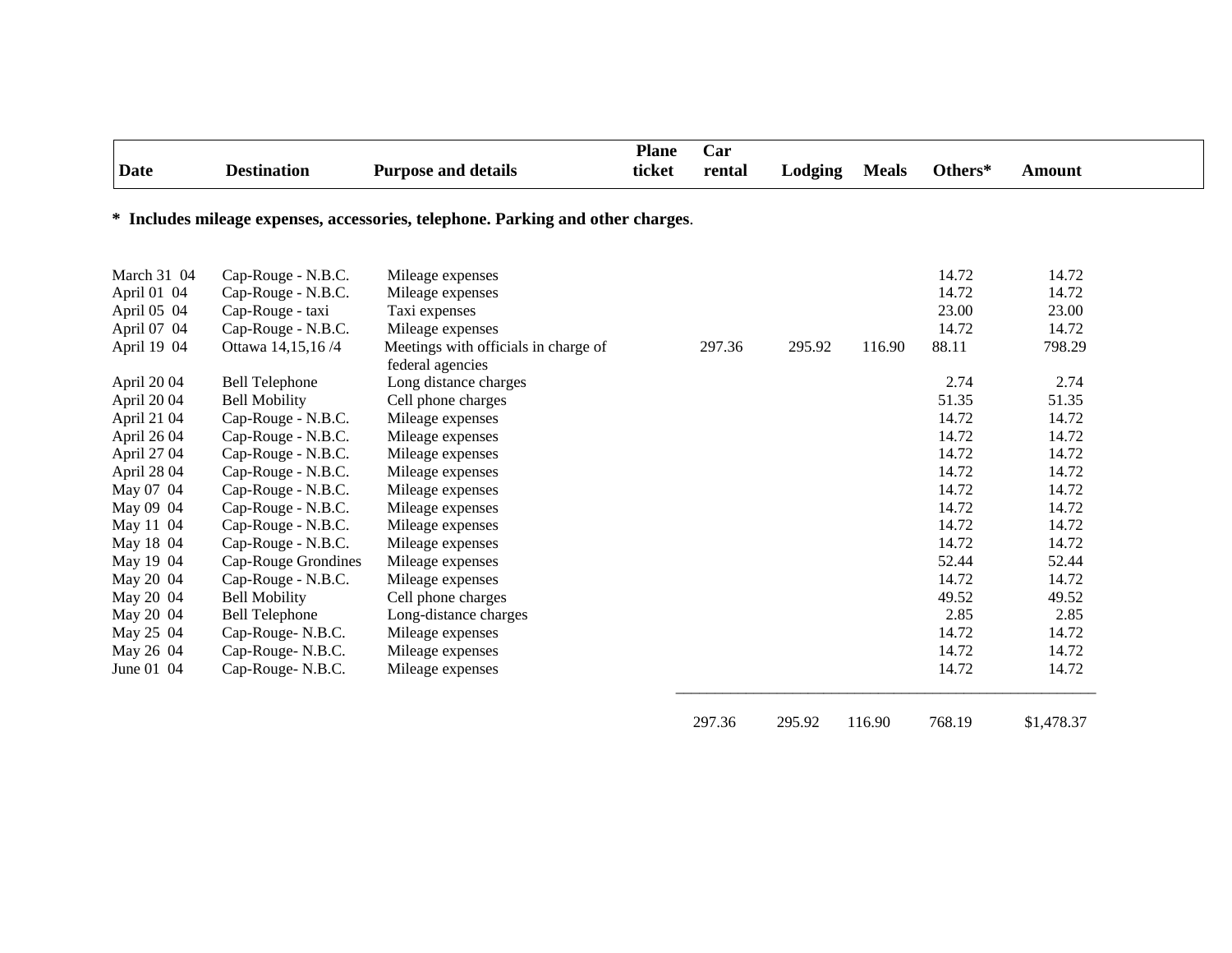| <b>Date</b> | <b>Destination</b>    | <b>Purpose and details</b>                                                      | <b>Plane</b><br>ticket | Car<br>rental | Lodging | <b>Meals</b> | Others* | <b>Amount</b> |
|-------------|-----------------------|---------------------------------------------------------------------------------|------------------------|---------------|---------|--------------|---------|---------------|
|             |                       | * Includes mileage expenses, accessories, telephone. Parking and other charges. |                        |               |         |              |         |               |
| March 31 04 | Cap-Rouge - N.B.C.    | Mileage expenses                                                                |                        |               |         |              | 14.72   | 14.72         |
| April 01 04 | Cap-Rouge - N.B.C.    | Mileage expenses                                                                |                        |               |         |              | 14.72   | 14.72         |
| April 05 04 | Cap-Rouge - taxi      | Taxi expenses                                                                   |                        |               |         |              | 23.00   | 23.00         |
| April 07 04 | Cap-Rouge - N.B.C.    | Mileage expenses                                                                |                        |               |         |              | 14.72   | 14.72         |
| April 19 04 | Ottawa 14,15,16/4     | Meetings with officials in charge of<br>federal agencies                        |                        | 297.36        | 295.92  | 116.90       | 88.11   | 798.29        |
| April 2004  | <b>Bell Telephone</b> | Long distance charges                                                           |                        |               |         |              | 2.74    | 2.74          |
| April 2004  | <b>Bell Mobility</b>  | Cell phone charges                                                              |                        |               |         |              | 51.35   | 51.35         |
| April 21 04 | Cap-Rouge - N.B.C.    | Mileage expenses                                                                |                        |               |         |              | 14.72   | 14.72         |
| April 26 04 | Cap-Rouge - N.B.C.    | Mileage expenses                                                                |                        |               |         |              | 14.72   | 14.72         |
| April 27 04 | Cap-Rouge - N.B.C.    | Mileage expenses                                                                |                        |               |         |              | 14.72   | 14.72         |
| April 28 04 | Cap-Rouge - N.B.C.    | Mileage expenses                                                                |                        |               |         |              | 14.72   | 14.72         |
| May 07 04   | Cap-Rouge - N.B.C.    | Mileage expenses                                                                |                        |               |         |              | 14.72   | 14.72         |
| May 09 04   | Cap-Rouge - N.B.C.    | Mileage expenses                                                                |                        |               |         |              | 14.72   | 14.72         |
| May 11 04   | Cap-Rouge - N.B.C.    | Mileage expenses                                                                |                        |               |         |              | 14.72   | 14.72         |
| May 18 04   | Cap-Rouge - N.B.C.    | Mileage expenses                                                                |                        |               |         |              | 14.72   | 14.72         |
| May 19 04   | Cap-Rouge Grondines   | Mileage expenses                                                                |                        |               |         |              | 52.44   | 52.44         |
| May 20 04   | Cap-Rouge - N.B.C.    | Mileage expenses                                                                |                        |               |         |              | 14.72   | 14.72         |
| May 20 04   | <b>Bell Mobility</b>  | Cell phone charges                                                              |                        |               |         |              | 49.52   | 49.52         |
| May 20 04   | <b>Bell Telephone</b> | Long-distance charges                                                           |                        |               |         |              | 2.85    | 2.85          |
| May 25 04   | Cap-Rouge-N.B.C.      | Mileage expenses                                                                |                        |               |         |              | 14.72   | 14.72         |
| May 26 04   | Cap-Rouge-N.B.C.      | Mileage expenses                                                                |                        |               |         |              | 14.72   | 14.72         |
| June 01 04  | Cap-Rouge-N.B.C.      | Mileage expenses                                                                |                        |               |         |              | 14.72   | 14.72         |
|             |                       |                                                                                 |                        | 297.36        | 295.92  | 116.90       | 768.19  | \$1,478.37    |